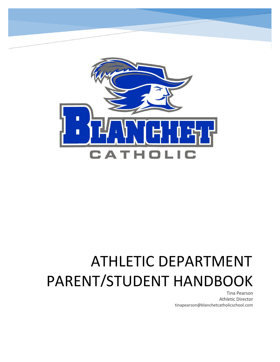

Blanchet Catholic School – Parent/Student Handbook

# PARENT/STUDENT HANDBOOK ATHLETIC DEPARTMENT

Tina Pearson Athletic Director tinapearson@blanchetcatholicschool.com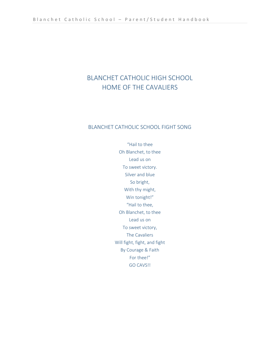# BLANCHET CATHOLIC HIGH SCHOOL HOME OF THE CAVALIERS

#### BLANCHET CATHOLIC SCHOOL FIGHT SONG

"Hail to thee Oh Blanchet, to thee Lead us on To sweet victory. Silver and blue So bright, With thy might, Win tonight!" "Hail to thee, Oh Blanchet, to thee Lead us on To sweet victory, The Cavaliers Will fight, fight, and fight By Courage & Faith For thee!" GO CAVS!!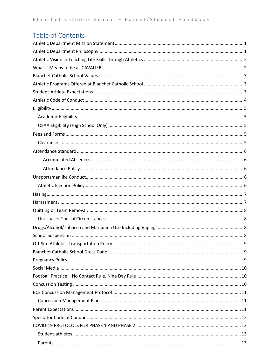# Table of Contents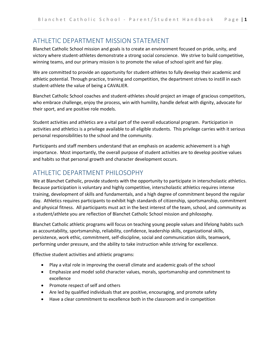# <span id="page-3-0"></span>ATHLETIC DEPARTMENT MISSION STATEMENT

Blanchet Catholic School mission and goals is to create an environment focused on pride, unity, and victory where student-athletes demonstrate a strong social conscience. We strive to build competitive, winning teams, and our primary mission is to promote the value of school spirit and fair play.

We are committed to provide an opportunity for student-athletes to fully develop their academic and athletic potential. Through practice, training and competition, the department strives to instill in each student-athlete the value of being a CAVALIER.

Blanchet Catholic School coaches and student-athletes should project an image of gracious competitors, who embrace challenge, enjoy the process, win with humility, handle defeat with dignity, advocate for their sport, and are positive role models.

Student activities and athletics are a vital part of the overall educational program. Participation in activities and athletics is a privilege available to all eligible students. This privilege carries with it serious personal responsibilities to the school and the community.

Participants and staff members understand that an emphasis on academic achievement is a high importance. Most importantly, the overall purpose of student activities are to develop positive values and habits so that personal growth and character development occurs.

# <span id="page-3-1"></span>ATHLETIC DEPARTMENT PHILOSOPHY

We at Blanchet Catholic, provide students with the opportunity to participate in interscholastic athletics. Because participation is voluntary and highly competitive, interscholastic athletics requires intense training, development of skills and fundamentals, and a high degree of commitment beyond the regular day. Athletics requires participants to exhibit high standards of citizenship, sportsmanship, commitment and physical fitness. All participants must act in the best interest of the team, school, and community as a student/athlete you are reflection of Blanchet Catholic School mission and philosophy.

Blanchet Catholic athletic programs will focus on teaching young people values and lifelong habits such as accountability, sportsmanship, reliability, confidence, leadership skills, organizational skills, persistence, work ethic, commitment, self-discipline, social and communication skills, teamwork, performing under pressure, and the ability to take instruction while striving for excellence.

Effective student activities and athletic programs:

- Play a vital role in improving the overall climate and academic goals of the school
- Emphasize and model solid character values, morals, sportsmanship and commitment to excellence
- Promote respect of self and others
- Are led by qualified individuals that are positive, encouraging, and promote safety
- Have a clear commitment to excellence both in the classroom and in competition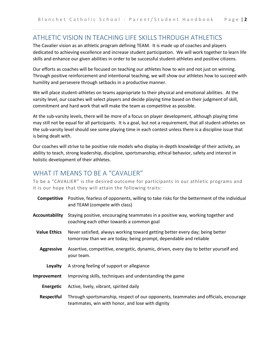## <span id="page-4-0"></span>ATHLETIC VISION IN TEACHING LIFE SKILLS THROUGH ATHLETICS

The Cavalier vision as an athletic program defining TEAM. It is made up of coaches and players dedicated to achieving excellence and increase student participation. We will work together to learn life skills and enhance our given abilities in order to be successful student-athletes and positive citizens.

Our efforts as coaches will be focused on teaching our athletes how to win and not just on winning. Through positive reinforcement and intentional teaching, we will show our athletes how to succeed with humility and persevere through setbacks in a productive manner.

We will place student-athletes on teams appropriate to their physical and emotional abilities. At the varsity level, our coaches will select players and decide playing time based on their judgment of skill, commitment and hard work that will make the team as competitive as possible.

At the sub-varsity levels, there will be more of a focus on player development, although playing time may still not be equal for all participants. It is a goal, but not a requirement, that all student-athletes on the sub-varsity level should see some playing time in each contest unless there is a discipline issue that is being dealt with.

Our coaches will strive to be positive role models who display in-depth knowledge of their activity, an ability to teach, strong leadership, discipline, sportsmanship, ethical behavior, safety and interest in holistic development of their athletes.

## <span id="page-4-1"></span>WHAT IT MEANS TO BE A "CAVALIFR"

To be a "CAVALIER" is the desired outcome for participants in our athletic programs and it is our hope that they will attain the following traits:

|                     | <b>Competitive</b> Positive, fearless of opponents, willing to take risks for the betterment of the individual<br>and TEAM (compete with class)    |
|---------------------|----------------------------------------------------------------------------------------------------------------------------------------------------|
| Accountability      | Staying positive, encouraging teammates in a positive way, working together and<br>coaching each other towards a common goal                       |
| <b>Value Ethics</b> | Never satisfied, always working toward getting better every day; being better<br>tomorrow than we are today; being prompt, dependable and reliable |
| <b>Aggressive</b>   | Assertive, competitive, energetic, dynamic, driven, every day to better yourself and<br>your team.                                                 |
| Loyalty             | A strong feeling of support or allegiance                                                                                                          |
| Improvement         | Improving skills, techniques and understanding the game                                                                                            |
| Energetic           | Active, lively, vibrant, spirited daily                                                                                                            |
| <b>Respectful</b>   | Through sportsmanship, respect of our opponents, teammates and officials, encourage<br>teammates, win with honor, and lose with dignity            |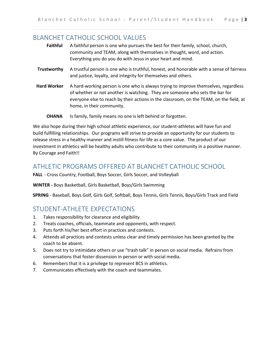## <span id="page-5-0"></span>BLANCHET CATHOLIC SCHOOL VALUES

| <b>Faithful</b>    | A faithful person is one who pursues the best for their family, school, church,<br>community and TEAM, along with themselves in thought, word, and action.<br>Everything you do you do with Jesus in your heart and mind.                                                                   |
|--------------------|---------------------------------------------------------------------------------------------------------------------------------------------------------------------------------------------------------------------------------------------------------------------------------------------|
| Trustworthy        | A trustful person is one who is truthful, honest, and honorable with a sense of fairness<br>and justice, loyalty, and integrity for themselves and others.                                                                                                                                  |
| <b>Hard Worker</b> | A hard-working person is one who is always trying to improve themselves, regardless<br>of whether or not another is watching. They are someone who sets the bar for<br>everyone else to reach by their actions in the classroom, on the TEAM, on the field, at<br>home, in their community. |
| <b>OHANA</b>       | Is family, family means no one is left behind or forgotten.                                                                                                                                                                                                                                 |

We also hope during their high school athletic experience, our student-athletes will have fun and build fulfilling relationships. Our programs will strive to provide an opportunity for our students to release stress in a healthy manner and instill fitness for life as a core value. The product of our investment in athletics will be healthy adults who contribute to their community in a positive manner. By Courage and Faith!!

## <span id="page-5-1"></span>ATHLETIC PROGRAMS OFFERED AT BLANCHET CATHOLIC SCHOOL

**FALL** - Cross Country, Football, Boys Soccer, Girls Soccer, and Volleyball

**WINTER -** Boys Basketball, Girls Basketball, Boys/Girls Swimming

**SPRING** - Baseball, Boys Golf, Girls Golf, Softball, Boys Tennis, Girls Tennis, Boys/Girls Track and Field

# <span id="page-5-2"></span>STUDENT-ATHLETE EXPECTATIONS

- 1. Takes responsibility for clearance and eligibility.
- 2. Treats coaches, officials, teammate and opponents, with respect.
- 3. Puts forth his/her best effort in practices and contests.
- 4. Attends all practices and contests unless clear and timely permission has been granted by the coach to be absent.
- 5. Does not try to intimidate others or use "trash talk" in person on social media. Refrains from conversations that foster dissension in person or with social media.
- 6. Remembers that it is a privilege to represent BCS in athletics.
- 7. Communicates effectively with the coach and teammates.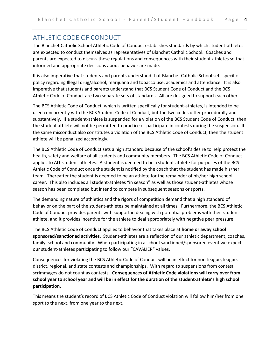# <span id="page-6-0"></span>ATHLETIC CODE OF CONDUCT

The Blanchet Catholic School Athletic Code of Conduct establishes standards by which student-athletes are expected to conduct themselves as representatives of Blanchet Catholic School. Coaches and parents are expected to discuss these regulations and consequences with their student-athletes so that informed and appropriate decisions about behavior are made.

It is also imperative that students and parents understand that Blanchet Catholic School sets specific policy regarding Illegal drug/alcohol, marijuana and tobacco use, academics and attendance. It is also imperative that students and parents understand that BCS Student Code of Conduct and the BCS Athletic Code of Conduct are two separate sets of standards. All are designed to support each other.

The BCS Athletic Code of Conduct, which is written specifically for student-athletes, is intended to be used concurrently with the BCS Student Code of Conduct, but the two codes differ procedurally and substantively. If a student-athlete is suspended for a violation of the BCS Student Code of Conduct, then the student athlete will not be permitted to practice or participate in contests during the suspension. If the same misconduct also constitutes a violation of the BCS Athletic Code of Conduct, then the student athlete will be penalized accordingly.

The BCS Athletic Code of Conduct sets a high standard because of the school's desire to help protect the health, safety and welfare of all students and community members. The BCS Athletic Code of Conduct applies to ALL student-athletes. A student is deemed to be a student-athlete for purposes of the BCS Athletic Code of Conduct once the student is notified by the coach that the student has made his/her team. Thereafter the student is deemed to be an athlete for the remainder of his/her high school career. This also includes all student-athletes "in season" as well as those student-athletes whose season has been completed but intend to compete in subsequent seasons or sports.

The demanding nature of athletics and the rigors of competition demand that a high standard of behavior on the part of the student-athletes be maintained at all times. Furthermore, the BCS Athletic Code of Conduct provides parents with support in dealing with potential problems with their studentathlete, and it provides incentive for the athlete to deal appropriately with negative peer pressure.

The BCS Athletic Code of Conduct applies to behavior that takes place at **home or away school sponsored/sanctioned activities**. Student-athletes are a reflection of our athletic department, coaches, family, school and community. When participating in a school sanctioned/sponsored event we expect our student-athletes participating to follow our "CAVALIER" values.

Consequences for violating the BCS Athletic Code of Conduct will be in effect for non-league, league, district, regional, and state contests and championships. With regard to suspensions from contest, scrimmages do not count as contests**. Consequences of Athletic Code violations will carry over from school year to school year and will be in effect for the duration of the student-athlete's high school participation.**

This means the student's record of BCS Athletic Code of Conduct violation will follow him/her from one sport to the next, from one year to the next.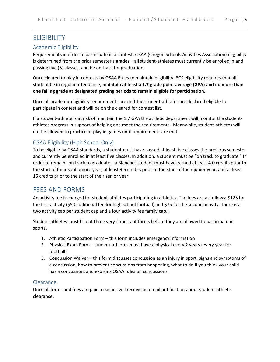# <span id="page-7-0"></span>ELIGIBILITY

#### <span id="page-7-1"></span>Academic Eligibility

Requirements in order to participate in a contest: OSAA (Oregon Schools Activities Association) eligibility is determined from the prior semester's grades – all student-athletes must currently be enrolled in and passing five (5) classes, and be on track for graduation.

Once cleared to play in contests by OSAA Rules to maintain eligibility, BCS eligibility requires that all student be in regular attendance, **maintain at least a 1.7 grade point average (GPA) and no more than one failing grade at designated grading periods to remain eligible for participation.**

Once all academic eligibility requirements are met the student-athletes are declared eligible to participate in contest and will be on the cleared for contest list.

If a student-athlete is at risk of maintain the 1.7 GPA the athletic department will monitor the studentathletes progress in support of helping one meet the requirements. Meanwhile, student-athletes will not be allowed to practice or play in games until requirements are met.

#### <span id="page-7-2"></span>OSAA Eligibility (High School Only)

To be eligible by OSAA standards, a student must have passed at least five classes the previous semester and currently be enrolled in at least five classes. In addition, a student must be "on track to graduate." In order to remain "on track to graduate," a Blanchet student must have earned at least 4.0 credits prior to the start of their sophomore year, at least 9.5 credits prior to the start of their junior year, and at least 16 credits prior to the start of their senior year.

## <span id="page-7-3"></span>FEES AND FORMS

An activity fee is charged for student-athletes participating in athletics. The fees are as follows: \$125 for the first activity (\$50 additional fee for high school football) and \$75 for the second activity. There is a two activity cap per student cap and a four activity fee family cap.)

Student-athletes must fill out three very important forms before they are allowed to participate in sports.

- 1. Athletic Participation Form this form includes emergency information
- 2. Physical Exam Form student-athletes must have a physical every 2 years (every year for football)
- 3. Concussion Waiver this form discusses concussion as an injury in sport, signs and symptoms of a concussion, how to prevent concussions from happening, what to do if you think your child has a concussion, and explains OSAA rules on concussions.

#### <span id="page-7-4"></span>Clearance

Once all forms and fees are paid, coaches will receive an email notification about student-athlete clearance.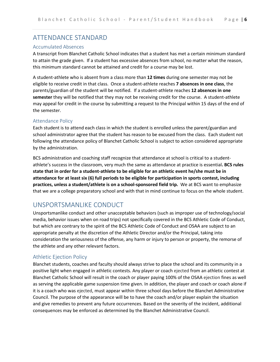## <span id="page-8-0"></span>ATTENDANCE STANDARD

#### <span id="page-8-1"></span>Accumulated Absences

A transcript from Blanchet Catholic School indicates that a student has met a certain minimum standard to attain the grade given. If a student has excessive absences from school, no matter what the reason, this minimum standard cannot be attained and credit for a course may be lost.

A student-athlete who is absent from a class more than **12 times** during one semester may not be eligible to receive credit in that class. Once a student-athlete reaches **7 absences in one class**, the parents/guardian of the student will be notified. If a student-athlete reaches **12 absences in one semester** they will be notified that they may not be receiving credit for the course. A student-athlete may appeal for credit in the course by submitting a request to the Principal within 15 days of the end of the semester.

#### <span id="page-8-2"></span>Attendance Policy

Each student is to attend each class in which the student is enrolled unless the parent/guardian and school administrator agree that the student has reason to be excused from the class. Each student not following the attendance policy of Blanchet Catholic School is subject to action considered appropriate by the administration.

BCS administration and coaching staff recognize that attendance at school is critical to a studentathlete's success in the classroom, very much the same as attendance at practice is essential**. BCS rules state that in order for a student-athlete to be eligible for an athletic event he/she must be in attendance for at least six (6) full periods to be eligible for participation in sports contest, including practices, unless a student/athlete is on a school-sponsored field trip.** We at BCS want to emphasize that we are a college preparatory school and with that in mind continue to focus on the whole student.

## <span id="page-8-3"></span>UNSPORTSMANLIKE CONDUCT

Unsportsmanlike conduct and other unacceptable behaviors (such as improper use of technology/social media, behavior issues when on road trips) not specifically covered in the BCS Athletic Code of Conduct, but which are contrary to the spirit of the BCS Athletic Code of Conduct and OSAA are subject to an appropriate penalty at the discretion of the Athletic Director and/or the Principal, taking into consideration the seriousness of the offense, any harm or injury to person or property, the remorse of the athlete and any other relevant factors.

#### <span id="page-8-4"></span>Athletic Ejection Policy

Blanchet students, coaches and faculty should always strive to place the school and its community in a positive light when engaged in athletic contests. Any player or coach ejected from an athletic contest at Blanchet Catholic School will result in the coach or player paying 100% of the OSAA ejection fines as well as serving the applicable game suspension time given. In addition, the player and coach or coach alone if it is a coach who was ejected, must appear within three school days before the Blanchet Administrative Council. The purpose of the appearance will be to have the coach and/or player explain the situation and give remedies to prevent any future occurrences. Based on the severity of the incident, additional consequences may be enforced as determined by the Blanchet Administrative Council.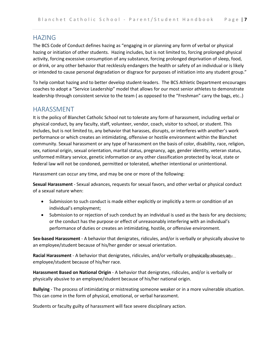#### <span id="page-9-0"></span>HAZING

The BCS Code of Conduct defines hazing as "engaging in or planning any form of verbal or physical hazing or initiation of other students. Hazing includes, but is not limited to, forcing prolonged physical activity, forcing excessive consumption of any substance, forcing prolonged deprivation of sleep, food, or drink, or any other behavior that recklessly endangers the health or safety of an individual or is likely or intended to cause personal degradation or disgrace for purposes of initiation into any student group."

To help combat hazing and to better develop student-leaders. The BCS Athletic Department encourages coaches to adopt a "Service Leadership" model that allows for our most senior athletes to demonstrate leadership through consistent service to the team ( as opposed to the "Freshman" carry the bags, etc..)

#### <span id="page-9-1"></span>HARASSMENT

It is the policy of Blanchet Catholic School not to tolerate any form of harassment, including verbal or physical conduct, by any faculty, staff, volunteer, vendor, coach, visitor to school, or student. This includes, but is not limited to, any behavior that harasses, disrupts, or interferes with another's work performance or which creates an intimidating, offensive or hostile environment within the Blanchet community. Sexual harassment or any type of harassment on the basis of color, disability, race, religion, sex, national origin, sexual orientation, marital status, pregnancy, age, gender identity, veteran status, uniformed military service, genetic information or any other classification protected by local, state or federal law will not be condoned, permitted or tolerated, whether intentional or unintentional.

Harassment can occur any time, and may be one or more of the following:

**Sexual Harassment** - Sexual advances, requests for sexual favors, and other verbal or physical conduct of a sexual nature when:

- Submission to such conduct is made either explicitly or implicitly a term or condition of an individual's employment;
- Submission to or rejection of such conduct by an individual is used as the basis for any decisions; or the conduct has the purpose or effect of unreasonably interfering with an individual's performance of duties or creates an intimidating, hostile, or offensive environment.

**Sex-based Harassment** - A behavior that denigrates, ridicules, and/or is verbally or physically abusive to an employee/student because of his/her gender or sexual orientation.

Racial Harassment - A behavior that denigrates, ridicules, and/or verbally or physically abuses page... employee/student because of his/her race.

**Harassment Based on National Origin** - A behavior that denigrates, ridicules, and/or is verbally or physically abusive to an employee/student because of his/her national origin.

**Bullying** - The process of intimidating or mistreating someone weaker or in a more vulnerable situation. This can come in the form of physical, emotional, or verbal harassment.

Students or faculty guilty of harassment will face severe disciplinary action.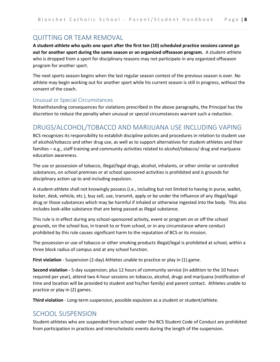# <span id="page-10-0"></span>QUITTING OR TEAM REMOVAL

**A student-athlete who quits one sport after the first ten (10) scheduled practice sessions cannot go out for another sport during the same season or an organized offseason program.** A student-athlete who is dropped from a sport for disciplinary reasons may not participate in any organized offseason program for another sport.

The next sports season begins when the last regular season contest of the previous season is over. No athlete may begin working out for another sport while his current season is still in progress, without the consent of the coach.

#### <span id="page-10-1"></span>Unusual or Special Circumstances

Notwithstanding consequences for violations prescribed in the above paragraphs, the Principal has the discretion to reduce the penalty when unusual or special circumstances warrant such a reduction.

## <span id="page-10-2"></span>DRUGS/ALCOHOL/TOBACCO AND MARIJUANA USE INCLUDING VAPING

BCS recognizes its responsibility to establish discipline policies and procedures in relation to student use of alcohol/tobacco and other drug use, as well as to support alternatives for student-athletes and their families – e.g., staff training and community activities related to alcohol/tobacco/ drug and marijuana education awareness.

The use or possession of tobacco, illegal/legal drugs, alcohol, inhalants, or other similar or controlled substances, on school premises or at school sponsored activities is prohibited and is grounds for disciplinary action up to and including expulsion.

A student-athlete shall not knowingly possess (i.e., including but not limited to having in purse, wallet, locker, desk, vehicle, etc.), buy sell, use, transmit, apply or be under the influence of any illegal/legal drug or those substances which may be harmful if inhaled or otherwise ingested into the body. This also includes look-alike substance that are being passed as illegal substance.

This rule is in effect during any school-sponsored activity, event or program on or off the school grounds, on the school bus, in transit to or from school, or in any circumstance where conduct prohibited by this rule causes significant harm to the reputation of BCS or its mission.

The possession or use of tobacco or other smoking products illegal/legal is prohibited at school, within a three block radius of campus and at any school function.

**First violation** - Suspension (2-day) Athletes unable to practice or play in (1) game.

**Second violation -** 5-day suspension, plus 12 hours of community service (in addition to the 10 hours required per year), attend two 4-hour sessions on tobacco, alcohol, drugs and marijuana (notification of time and location will be provided to student and his/her family) and parent contact. Athletes unable to practice or play in (2) games.

**Third violation** - Long-term suspension, possible expulsion as a student or student/athlete.

## <span id="page-10-3"></span>SCHOOL SUSPENSION

Student-athletes who are suspended from school under the BCS Student Code of Conduct are prohibited from participation in practices and interscholastic events during the length of the suspension.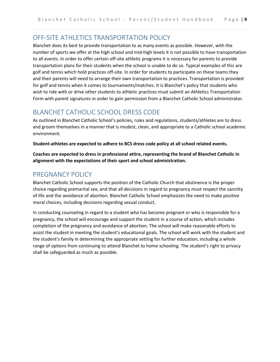## <span id="page-11-0"></span>OFF-SITE ATHI FTICS TRANSPORTATION POLICY

Blanchet does its best to provide transportation to as many events as possible. However, with the number of sports we offer at the high school and mid-high levels it is not possible to have transportation to all events. In order to offer certain off-site athletic programs it is necessary for parents to provide transportation plans for their students when the school is unable to do so. Typical examples of this are golf and tennis which hold practices off-site. In order for students to participate on these teams they and their parents will need to arrange their own transportation to practices. Transportation is provided for golf and tennis when it comes to tournaments/matches. It is Blanchet's policy that students who wish to ride with or drive other students to athletic practices must submit an Athletics Transportation Form with parent signatures in order to gain permission from a Blanchet Catholic School administrator.

# <span id="page-11-1"></span>BLANCHET CATHOLIC SCHOOL DRESS CODE

As outlined in Blanchet Catholic School's policies, rules and regulations, students/athletes are to dress and groom themselves in a manner that is modest, clean, and appropriate to a Catholic school academic environment.

**Student-athletes are expected to adhere to BCS dress code policy at all school related events.**

**Coaches are expected to dress in professional attire, representing the brand of Blanchet Catholic in alignment with the expectations of their sport and school administration.**

## <span id="page-11-2"></span>PREGNANCY POLICY

Blanchet Catholic School supports the position of the Catholic Church that abstinence is the proper choice regarding premarital sex, and that all decisions in regard to pregnancy must respect the sanctity of life and the avoidance of abortion. Blanchet Catholic School emphasizes the need to make positive moral choices, including decisions regarding sexual conduct.

In conducting counseling in regard to a student who has become pregnant or who is responsible for a pregnancy, the school will encourage and support the student in a course of action, which includes completion of the pregnancy and avoidance of abortion. The school will make reasonable efforts to assist the student in meeting the student's educational goals. The school will work with the student and the student's family in determining the appropriate setting for further education, including a whole range of options from continuing to attend Blanchet to home schooling. The student's right to privacy shall be safeguarded as much as possible.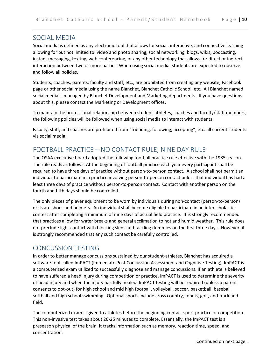## <span id="page-12-0"></span>SOCIAL MEDIA

Social media is defined as any electronic tool that allows for social, interactive, and connective learning allowing for but not limited to: video and photo sharing, social networking, blogs, wikis, podcasting, instant messaging, texting, web conferencing, or any other technology that allows for direct or indirect interaction between two or more parties. When using social media, students are expected to observe and follow all policies.

Students, coaches, parents, faculty and staff, etc., are prohibited from creating any website, Facebook page or other social media using the name Blanchet, Blanchet Catholic School, etc. All Blanchet named social media is managed by Blanchet Development and Marketing departments. If you have questions about this, please contact the Marketing or Development offices.

To maintain the professional relationship between student-athletes, coaches and faculty/staff members, the following policies will be followed when using social media to interact with students:

Faculty, staff, and coaches are prohibited from "friending, following, accepting", etc. all current students via social media.

## <span id="page-12-1"></span>FOOTBALL PRACTICE – NO CONTACT RULE, NINE DAY RULE

The OSAA executive board adopted the following football practice rule effective with the 1985 season. The rule reads as follows: At the beginning of football practice each year every participant shall be required to have three days of practice without person-to-person contact. A school shall not permit an individual to participate in a practice involving person-to-person contact unless that individual has had a least three days of practice without person-to-person contact. Contact with another person on the fourth and fifth days should be controlled.

The only pieces of player equipment to be worn by individuals during non-contact (person-to-person) drills are shoes and helmets. An individual shall become eligible to participate in an interscholastic contest after completing a minimum of nine days of actual field practice. It is strongly recommended that practices allow for water breaks and general acclimation to hot and humid weather. This rule does not preclude light contact with blocking sleds and tackling dummies on the first three days. However, it is strongly recommended that any such contact be carefully controlled.

## <span id="page-12-2"></span>CONCUSSION TESTING

In order to better manage concussions sustained by our student-athletes, Blanchet has acquired a software tool called ImPACT (Immediate Post Concussion Assessment and Cognitive Testing). ImPACT is a computerized exam utilized to successfully diagnose and manage concussions. If an athlete is believed to have suffered a head injury during competition or practice, ImPACT is used to determine the severity of head injury and when the injury has fully healed. ImPACT testing will be required (unless a parent consents to opt-out) for high school and mid high football, volleyball, soccer, basketball, baseball softball and high school swimming. Optional sports include cross country, tennis, golf, and track and field.

The computerized exam is given to athletes before the beginning contact sport practice or competition. This non-invasive test takes about 20-25 minutes to complete. Essentially, the ImPACT test is a preseason physical of the brain. It tracks information such as memory, reaction time, speed, and concentration.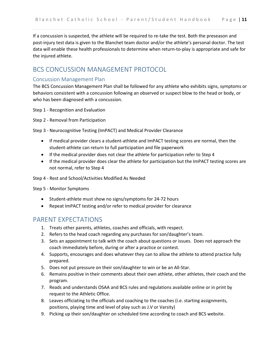If a concussion is suspected, the athlete will be required to re-take the test. Both the preseason and post-injury test data is given to the Blanchet team doctor and/or the athlete's personal doctor. The test data will enable these health professionals to determine when return-to-play is appropriate and safe for the injured athlete.

#### <span id="page-13-0"></span>BCS CONCUSSION MANAGEMENT PROTOCOL

#### <span id="page-13-1"></span>Concussion Management Plan

The BCS Concussion Management Plan shall be followed for any athlete who exhibits signs, symptoms or behaviors consistent with a concussion following an observed or suspect blow to the head or body, or who has been diagnosed with a concussion.

Step 1 - Recognition and Evaluation

Step 2 - Removal from Participation

Step 3 - Neurocognitive Testing (ImPACT) and Medical Provider Clearance

- If medical provider clears a student-athlete and ImPACT testing scores are normal, then the student-athlete can return to full participation and file paperwork
- If the medical provider does not clear the athlete for participation refer to Step 4
- If the medical provider does clear the athlete for participation but the ImPACT testing scores are not normal, refer to Step 4

Step 4 - Rest and School/Activities Modified As Needed

Step 5 - Monitor Symptoms

- Student-athlete must show no signs/symptoms for 24-72 hours
- Repeat ImPACT testing and/or refer to medical provider for clearance

#### <span id="page-13-2"></span>PARENT EXPECTATIONS

- 1. Treats other parents, athletes, coaches and officials, with respect.
- 2. Refers to the head coach regarding any purchases for son/daughter's team.
- 3. Sets an appointment to talk with the coach about questions or issues. Does not approach the coach immediately before, during or after a practice or contest.
- 4. Supports, encourages and does whatever they can to allow the athlete to attend practice fully prepared.
- 5. Does not put pressure on their son/daughter to win or be an All-Star.
- 6. Remains positive in their comments about their own athlete, other athletes, their coach and the program.
- 7. Reads and understands OSAA and BCS rules and regulations available online or in print by request to the Athletic Office.
- 8. Leaves officiating to the officials and coaching to the coaches (i.e. starting assignments, positions, playing time and level of play such as J.V or Varsity)
- 9. Picking up their son/daughter on scheduled time according to coach and BCS website.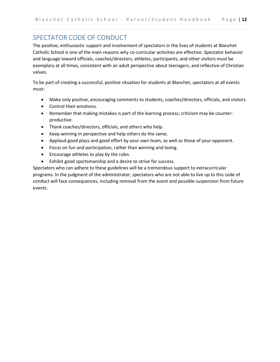# <span id="page-14-0"></span>SPECTATOR CODE OF CONDUCT

The positive, enthusiastic support and involvement of spectators in the lives of students at Blanchet Catholic School is one of the main reasons why co-curricular activities are effective. Spectator behavior and language toward officials, coaches/directors, athletes, participants, and other visitors must be exemplary at all times, consistent with an adult perspective about teenagers, and reflective of Christian values.

To be part of creating a successful, positive situation for students at Blanchet, spectators at all events must:

- Make only positive, encouraging comments to students, coaches/directors, officials, and visitors.
- Control their emotions.
- Remember that making mistakes is part of the learning process; criticism may be counterproductive.
- Thank coaches/directors, officials, and others who help.
- Keep winning in perspective and help others do the same.
- Applaud good plays and good effort by your own team, as well as those of your opponent.
- Focus on fun and participation, rather than winning and losing.
- Encourage athletes to play by the rules.
- Exhibit good sportsmanship and a desire to strive for success.

Spectators who can adhere to these guidelines will be a tremendous support to extracurricular programs. In the judgment of the administrator, spectators who are not able to live up to this code of conduct will face consequences, including removal from the event and possible suspension from future events.